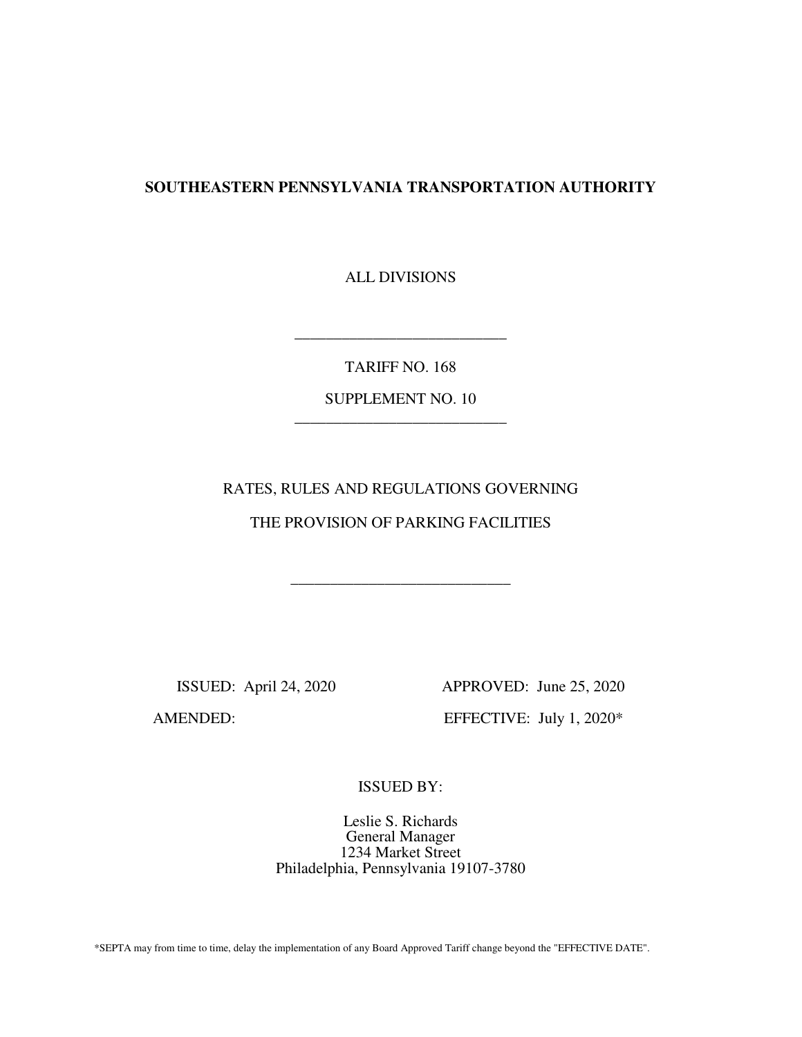## **SOUTHEASTERN PENNSYLVANIA TRANSPORTATION AUTHORITY**

ALL DIVISIONS

TARIFF NO. 168

\_\_\_\_\_\_\_\_\_\_\_\_\_\_\_\_\_\_\_\_\_\_\_\_\_\_\_

SUPPLEMENT NO. 10 \_\_\_\_\_\_\_\_\_\_\_\_\_\_\_\_\_\_\_\_\_\_\_\_\_\_\_

## RATES, RULES AND REGULATIONS GOVERNING

## THE PROVISION OF PARKING FACILITIES

\_\_\_\_\_\_\_\_\_\_\_\_\_\_\_\_\_\_\_\_\_\_\_\_\_\_\_\_

ISSUED: April 24, 2020 APPROVED: June 25, 2020

AMENDED: EFFECTIVE: July 1, 2020\*

ISSUED BY:

Leslie S. Richards General Manager 1234 Market Street Philadelphia, Pennsylvania 19107-3780

\*SEPTA may from time to time, delay the implementation of any Board Approved Tariff change beyond the "EFFECTIVE DATE".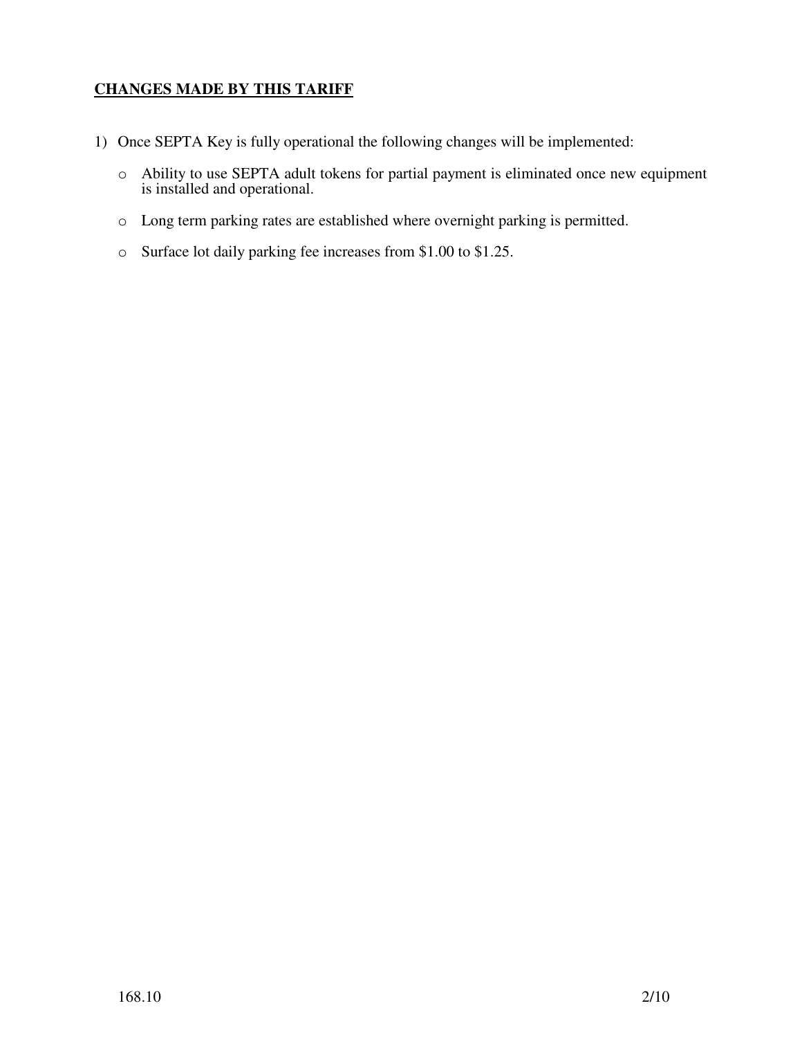# **CHANGES MADE BY THIS TARIFF**

- 1) Once SEPTA Key is fully operational the following changes will be implemented:
	- o Ability to use SEPTA adult tokens for partial payment is eliminated once new equipment is installed and operational.
	- o Long term parking rates are established where overnight parking is permitted.
	- o Surface lot daily parking fee increases from \$1.00 to \$1.25.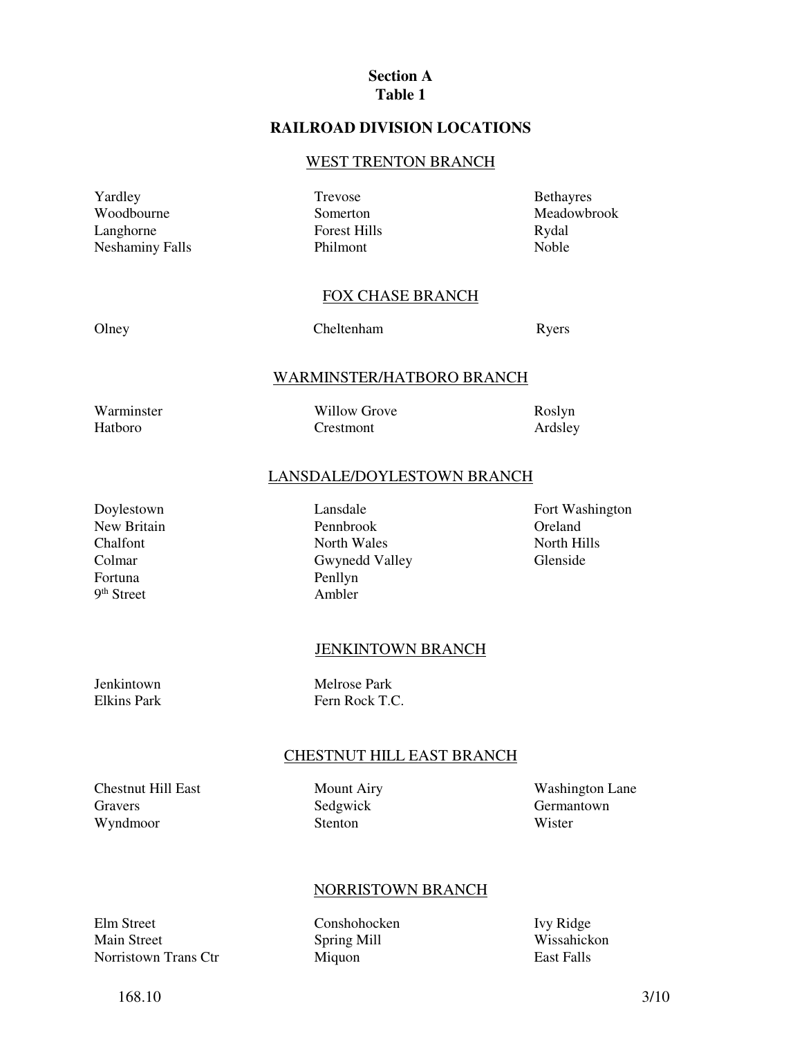## **Section A Table 1**

## **RAILROAD DIVISION LOCATIONS**

#### WEST TRENTON BRANCH

Yardley Woodbourne Langhorne Neshaminy Falls Trevose Somerton Forest Hills Philmont

Bethayres Meadowbrook Rydal Noble

## FOX CHASE BRANCH

Olney Cheltenham Ryers

#### WARMINSTER/HATBORO BRANCH

Warminster Hatboro

Willow Grove Crestmont

Roslyn Ardsley

#### LANSDALE/DOYLESTOWN BRANCH

Doylestown New Britain Chalfont Colmar Fortuna 9<sup>th</sup> Street

Lansdale Pennbrook North Wales Gwynedd Valley Penllyn Ambler

Fort Washington Oreland North Hills Glenside

#### JENKINTOWN BRANCH

Jenkintown Elkins Park Melrose Park Fern Rock T.C.

#### CHESTNUT HILL EAST BRANCH

Chestnut Hill East Gravers Wyndmoor

Mount Airy Sedgwick Stenton

Washington Lane Germantown Wister

#### NORRISTOWN BRANCH

Elm Street Main Street Norristown Trans Ctr Conshohocken Spring Mill Miquon

Ivy Ridge Wissahickon East Falls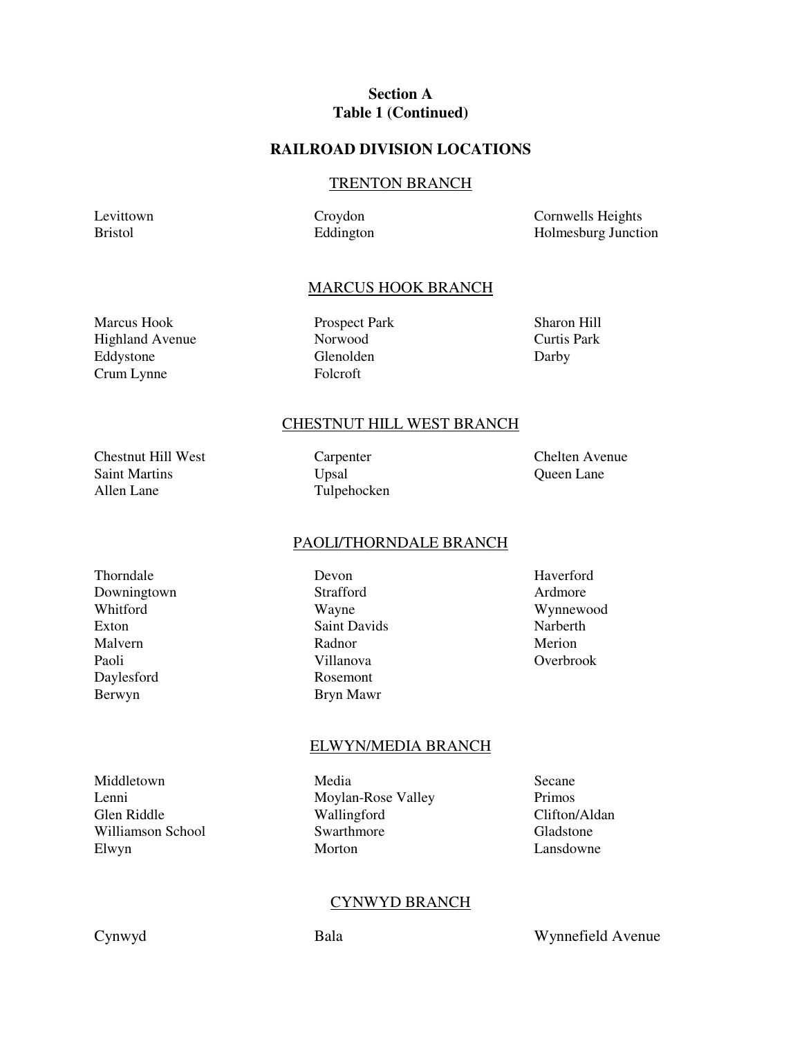## **Section A Table 1 (Continued)**

### **RAILROAD DIVISION LOCATIONS**

#### TRENTON BRANCH

Levittown Bristol

Croydon Eddington Cornwells Heights Holmesburg Junction

#### MARCUS HOOK BRANCH

Marcus Hook Highland Avenue Eddystone Crum Lynne

Prospect Park Norwood Glenolden Folcroft

Sharon Hill Curtis Park Darby

#### CHESTNUT HILL WEST BRANCH

Chestnut Hill West Saint Martins Allen Lane

Carpenter Upsal Tulpehocken Chelten Avenue Queen Lane

#### PAOLI/THORNDALE BRANCH

Thorndale Downingtown Whitford Exton Malvern Paoli Daylesford Berwyn

Devon Strafford Wayne Saint Davids Radnor Villanova Rosemont Bryn Mawr

Haverford Ardmore Wynnewood Narberth Merion Overbrook

#### ELWYN/MEDIA BRANCH

Middletown Lenni Glen Riddle Williamson School Elwyn

Media Moylan-Rose Valley Wallingford Swarthmore Morton

Secane Primos Clifton/Aldan Gladstone Lansdowne

#### CYNWYD BRANCH

Cynwyd Bala Wynnefield Avenue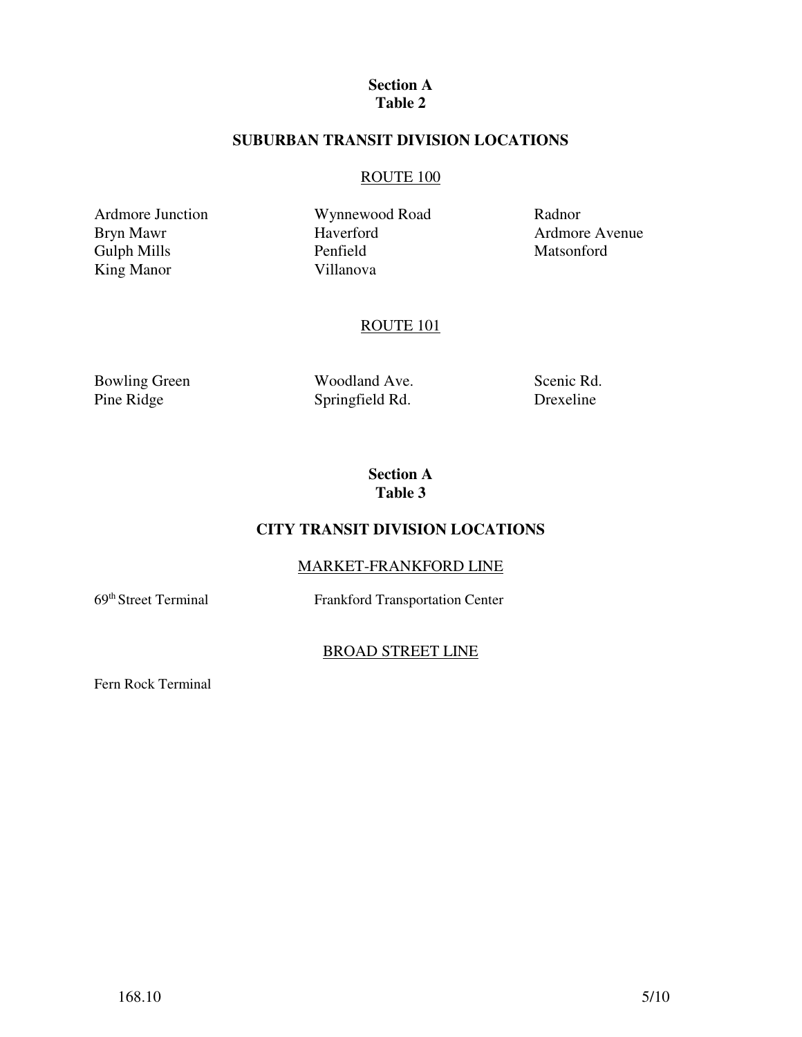#### **Section A Table 2**

## **SUBURBAN TRANSIT DIVISION LOCATIONS**

## ROUTE 100

Ardmore Junction Bryn Mawr Gulph Mills King Manor

Wynnewood Road Haverford Penfield Villanova

Radnor Ardmore Avenue Matsonford

## ROUTE 101

Bowling Green Pine Ridge

Woodland Ave. Springfield Rd.

Scenic Rd. Drexeline

**Section A Table 3**

# **CITY TRANSIT DIVISION LOCATIONS**

# MARKET-FRANKFORD LINE

69th Street Terminal Frankford Transportation Center

## BROAD STREET LINE

Fern Rock Terminal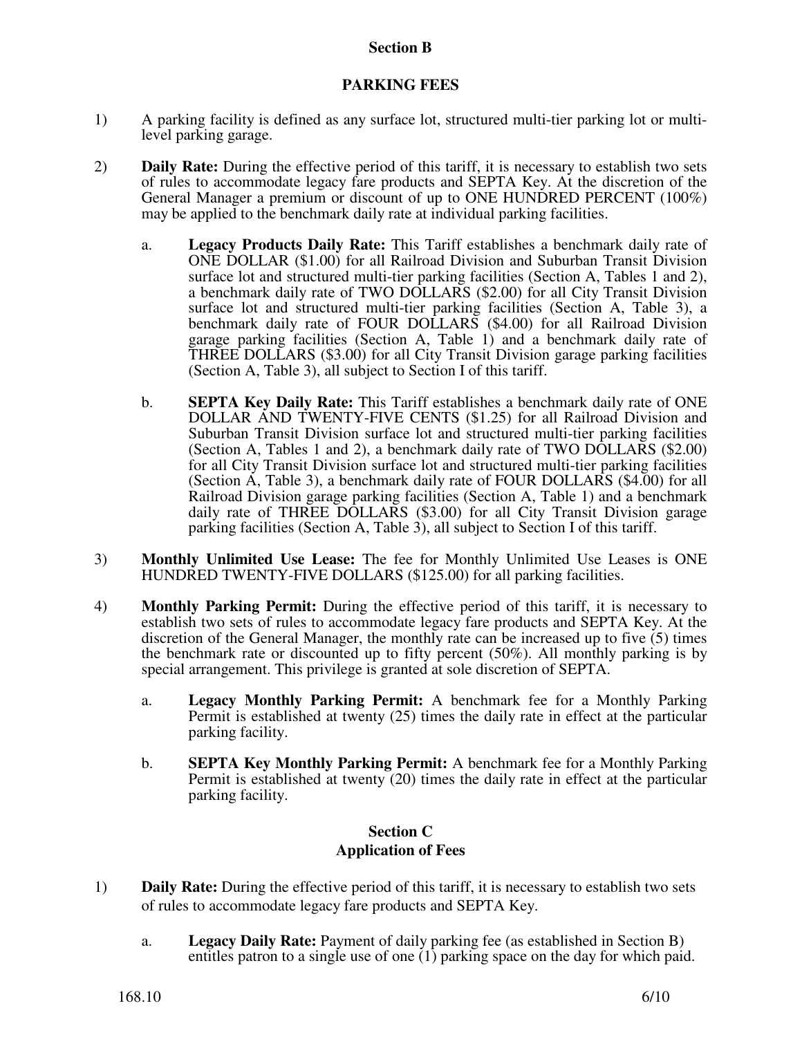## **Section B**

## **PARKING FEES**

- 1) A parking facility is defined as any surface lot, structured multi-tier parking lot or multilevel parking garage.
- 2) **Daily Rate:** During the effective period of this tariff, it is necessary to establish two sets of rules to accommodate legacy fare products and SEPTA Key. At the discretion of the General Manager a premium or discount of up to ONE HUNDRED PERCENT (100%) may be applied to the benchmark daily rate at individual parking facilities.
	- a. **Legacy Products Daily Rate:** This Tariff establishes a benchmark daily rate of ONE DOLLAR (\$1.00) for all Railroad Division and Suburban Transit Division surface lot and structured multi-tier parking facilities (Section A, Tables 1 and 2), a benchmark daily rate of TWO DOLLARS (\$2.00) for all City Transit Division surface lot and structured multi-tier parking facilities (Section A, Table 3), a benchmark daily rate of FOUR DOLLARS (\$4.00) for all Railroad Division garage parking facilities (Section A, Table 1) and a benchmark daily rate of THREE DOLLARS (\$3.00) for all City Transit Division garage parking facilities (Section A, Table 3), all subject to Section I of this tariff.
	- b. **SEPTA Key Daily Rate:** This Tariff establishes a benchmark daily rate of ONE DOLLAR AND TWENTY-FIVE CENTS (\$1.25) for all Railroad Division and Suburban Transit Division surface lot and structured multi-tier parking facilities (Section A, Tables 1 and 2), a benchmark daily rate of TWO DOLLARS (\$2.00) for all City Transit Division surface lot and structured multi-tier parking facilities (Section A, Table 3), a benchmark daily rate of FOUR DOLLARS (\$4.00) for all Railroad Division garage parking facilities (Section A, Table 1) and a benchmark daily rate of THREE DOLLARS (\$3.00) for all City Transit Division garage parking facilities (Section A, Table 3), all subject to Section I of this tariff.
- 3) **Monthly Unlimited Use Lease:** The fee for Monthly Unlimited Use Leases is ONE HUNDRED TWENTY-FIVE DOLLARS (\$125.00) for all parking facilities.
- 4) **Monthly Parking Permit:** During the effective period of this tariff, it is necessary to establish two sets of rules to accommodate legacy fare products and SEPTA Key. At the discretion of the General Manager, the monthly rate can be increased up to five (5) times the benchmark rate or discounted up to fifty percent (50%). All monthly parking is by special arrangement. This privilege is granted at sole discretion of SEPTA.
	- a. **Legacy Monthly Parking Permit:** A benchmark fee for a Monthly Parking Permit is established at twenty (25) times the daily rate in effect at the particular parking facility.
	- b. **SEPTA Key Monthly Parking Permit:** A benchmark fee for a Monthly Parking Permit is established at twenty (20) times the daily rate in effect at the particular parking facility.

## **Section C Application of Fees**

- 1) **Daily Rate:** During the effective period of this tariff, it is necessary to establish two sets of rules to accommodate legacy fare products and SEPTA Key.
	- a. **Legacy Daily Rate:** Payment of daily parking fee (as established in Section B) entitles patron to a single use of one (1) parking space on the day for which paid.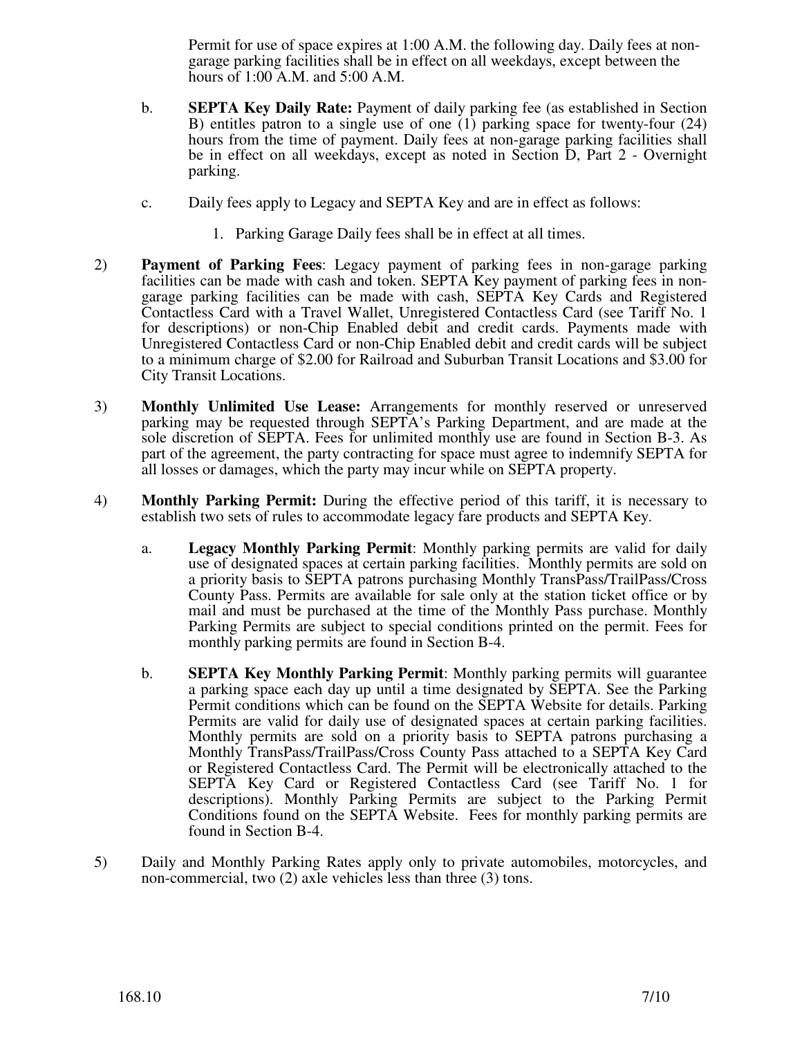Permit for use of space expires at 1:00 A.M. the following day. Daily fees at nongarage parking facilities shall be in effect on all weekdays, except between the hours of 1:00 A.M. and 5:00 A.M.

- b. **SEPTA Key Daily Rate:** Payment of daily parking fee (as established in Section B) entitles patron to a single use of one (1) parking space for twenty-four (24) hours from the time of payment. Daily fees at non-garage parking facilities shall be in effect on all weekdays, except as noted in Section D, Part 2 - Overnight parking.
- c. Daily fees apply to Legacy and SEPTA Key and are in effect as follows:
	- 1. Parking Garage Daily fees shall be in effect at all times.
- 2) **Payment of Parking Fees**: Legacy payment of parking fees in non-garage parking facilities can be made with cash and token. SEPTA Key payment of parking fees in nongarage parking facilities can be made with cash, SEPTA Key Cards and Registered Contactless Card with a Travel Wallet, Unregistered Contactless Card (see Tariff No. 1 for descriptions) or non-Chip Enabled debit and credit cards. Payments made with Unregistered Contactless Card or non-Chip Enabled debit and credit cards will be subject to a minimum charge of \$2.00 for Railroad and Suburban Transit Locations and \$3.00 for City Transit Locations.
- 3) **Monthly Unlimited Use Lease:** Arrangements for monthly reserved or unreserved parking may be requested through SEPTA's Parking Department, and are made at the sole discretion of SEPTA. Fees for unlimited monthly use are found in Section B-3. As part of the agreement, the party contracting for space must agree to indemnify SEPTA for all losses or damages, which the party may incur while on SEPTA property.
- 4) **Monthly Parking Permit:** During the effective period of this tariff, it is necessary to establish two sets of rules to accommodate legacy fare products and SEPTA Key.
	- a. **Legacy Monthly Parking Permit**: Monthly parking permits are valid for daily use of designated spaces at certain parking facilities. Monthly permits are sold on a priority basis to SEPTA patrons purchasing Monthly TransPass/TrailPass/Cross County Pass. Permits are available for sale only at the station ticket office or by mail and must be purchased at the time of the Monthly Pass purchase. Monthly Parking Permits are subject to special conditions printed on the permit. Fees for monthly parking permits are found in Section B-4.
	- b. **SEPTA Key Monthly Parking Permit**: Monthly parking permits will guarantee a parking space each day up until a time designated by SEPTA. See the Parking Permit conditions which can be found on the SEPTA Website for details. Parking Permits are valid for daily use of designated spaces at certain parking facilities. Monthly permits are sold on a priority basis to SEPTA patrons purchasing a Monthly TransPass/TrailPass/Cross County Pass attached to a SEPTA Key Card or Registered Contactless Card. The Permit will be electronically attached to the SEPTA Key Card or Registered Contactless Card (see Tariff No. 1 for descriptions). Monthly Parking Permits are subject to the Parking Permit Conditions found on the SEPTA Website. Fees for monthly parking permits are found in Section B-4.
- 5) Daily and Monthly Parking Rates apply only to private automobiles, motorcycles, and non-commercial, two (2) axle vehicles less than three (3) tons.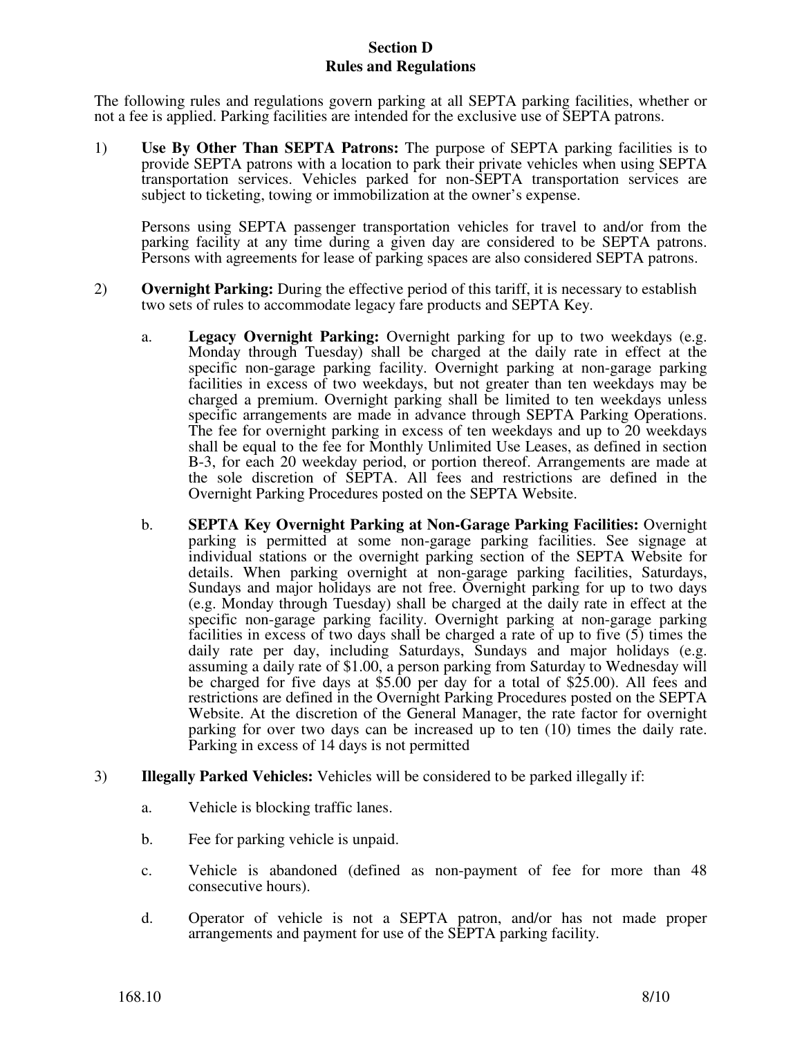## **Section D Rules and Regulations**

The following rules and regulations govern parking at all SEPTA parking facilities, whether or not a fee is applied. Parking facilities are intended for the exclusive use of SEPTA patrons.

1) **Use By Other Than SEPTA Patrons:** The purpose of SEPTA parking facilities is to provide SEPTA patrons with a location to park their private vehicles when using SEPTA transportation services. Vehicles parked for non-SEPTA transportation services are subject to ticketing, towing or immobilization at the owner's expense.

Persons using SEPTA passenger transportation vehicles for travel to and/or from the parking facility at any time during a given day are considered to be SEPTA patrons. Persons with agreements for lease of parking spaces are also considered SEPTA patrons.

- 2) **Overnight Parking:** During the effective period of this tariff, it is necessary to establish two sets of rules to accommodate legacy fare products and SEPTA Key.
	- a. **Legacy Overnight Parking:** Overnight parking for up to two weekdays (e.g. Monday through Tuesday) shall be charged at the daily rate in effect at the specific non-garage parking facility. Overnight parking at non-garage parking facilities in excess of two weekdays, but not greater than ten weekdays may be charged a premium. Overnight parking shall be limited to ten weekdays unless specific arrangements are made in advance through SEPTA Parking Operations. The fee for overnight parking in excess of ten weekdays and up to 20 weekdays shall be equal to the fee for Monthly Unlimited Use Leases, as defined in section B-3, for each 20 weekday period, or portion thereof. Arrangements are made at the sole discretion of SEPTA. All fees and restrictions are defined in the Overnight Parking Procedures posted on the SEPTA Website.
	- b. **SEPTA Key Overnight Parking at Non-Garage Parking Facilities:** Overnight parking is permitted at some non-garage parking facilities. See signage at individual stations or the overnight parking section of the SEPTA Website for details. When parking overnight at non-garage parking facilities, Saturdays, Sundays and major holidays are not free. Overnight parking for up to two days (e.g. Monday through Tuesday) shall be charged at the daily rate in effect at the specific non-garage parking facility. Overnight parking at non-garage parking facilities in excess of two days shall be charged a rate of up to five (5) times the daily rate per day, including Saturdays, Sundays and major holidays (e.g. assuming a daily rate of \$1.00, a person parking from Saturday to Wednesday will be charged for five days at \$5.00 per day for a total of \$25.00). All fees and restrictions are defined in the Overnight Parking Procedures posted on the SEPTA Website. At the discretion of the General Manager, the rate factor for overnight parking for over two days can be increased up to ten (10) times the daily rate. Parking in excess of 14 days is not permitted
- 3) **Illegally Parked Vehicles:** Vehicles will be considered to be parked illegally if:
	- a. Vehicle is blocking traffic lanes.
	- b. Fee for parking vehicle is unpaid.
	- c. Vehicle is abandoned (defined as non-payment of fee for more than 48 consecutive hours).
	- d. Operator of vehicle is not a SEPTA patron, and/or has not made proper arrangements and payment for use of the SEPTA parking facility.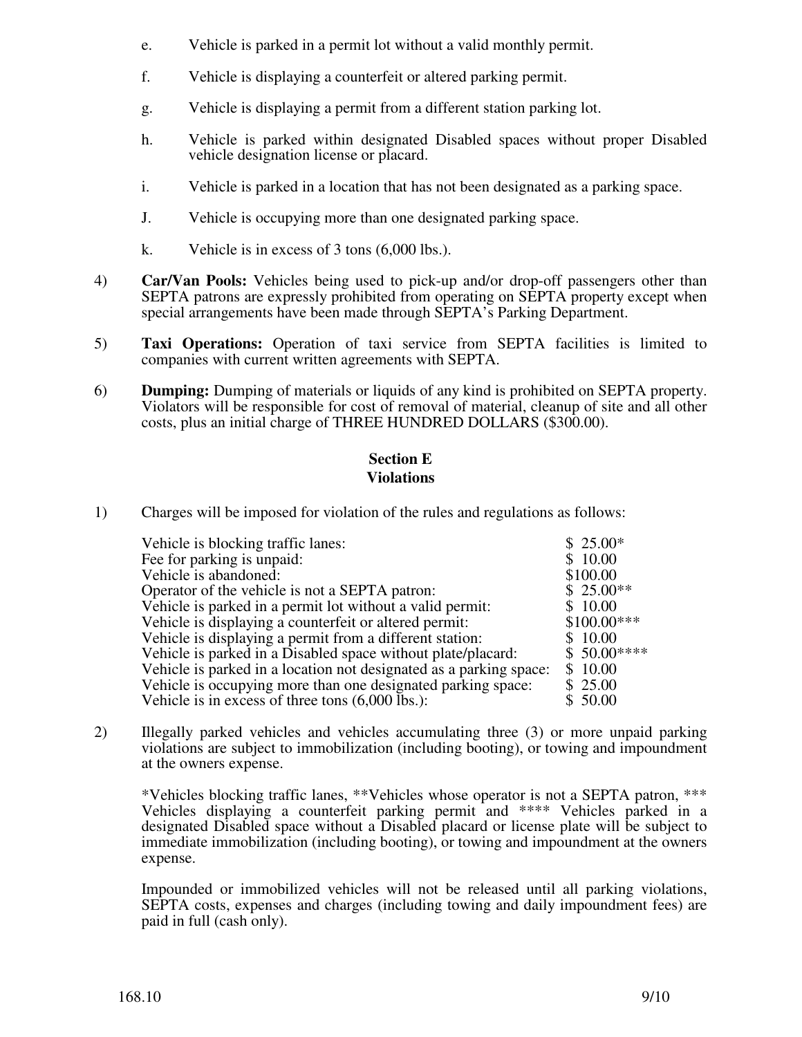- e. Vehicle is parked in a permit lot without a valid monthly permit.
- f. Vehicle is displaying a counterfeit or altered parking permit.
- g. Vehicle is displaying a permit from a different station parking lot.
- h. Vehicle is parked within designated Disabled spaces without proper Disabled vehicle designation license or placard.
- i. Vehicle is parked in a location that has not been designated as a parking space.
- J. Vehicle is occupying more than one designated parking space.
- k. Vehicle is in excess of 3 tons (6,000 lbs.).
- 4) **Car/Van Pools:** Vehicles being used to pick-up and/or drop-off passengers other than SEPTA patrons are expressly prohibited from operating on SEPTA property except when special arrangements have been made through SEPTA's Parking Department.
- 5) **Taxi Operations:** Operation of taxi service from SEPTA facilities is limited to companies with current written agreements with SEPTA.
- 6) **Dumping:** Dumping of materials or liquids of any kind is prohibited on SEPTA property. Violators will be responsible for cost of removal of material, cleanup of site and all other costs, plus an initial charge of THREE HUNDRED DOLLARS (\$300.00).

# **Section E Violations**

1) Charges will be imposed for violation of the rules and regulations as follows:

| Vehicle is blocking traffic lanes:                                 | $$25.00*$    |
|--------------------------------------------------------------------|--------------|
| Fee for parking is unpaid:                                         | \$10.00      |
| Vehicle is abandoned:                                              | \$100.00     |
| Operator of the vehicle is not a SEPTA patron:                     | $$25.00**$   |
| Vehicle is parked in a permit lot without a valid permit:          | \$10.00      |
| Vehicle is displaying a counterfeit or altered permit:             | $$100.00***$ |
| Vehicle is displaying a permit from a different station:           | \$10.00      |
| Vehicle is parked in a Disabled space without plate/placard:       | $$50.00***$  |
| Vehicle is parked in a location not designated as a parking space: | \$10.00      |
| Vehicle is occupying more than one designated parking space:       | \$25.00      |
| Vehicle is in excess of three tons $(6,000 \text{ lbs.})$ :        | \$50.00      |

2) Illegally parked vehicles and vehicles accumulating three (3) or more unpaid parking violations are subject to immobilization (including booting), or towing and impoundment at the owners expense.

\*Vehicles blocking traffic lanes, \*\*Vehicles whose operator is not a SEPTA patron, \*\*\* Vehicles displaying a counterfeit parking permit and \*\*\*\* Vehicles parked in a designated Disabled space without a Disabled placard or license plate will be subject to immediate immobilization (including booting), or towing and impoundment at the owners expense.

Impounded or immobilized vehicles will not be released until all parking violations, SEPTA costs, expenses and charges (including towing and daily impoundment fees) are paid in full (cash only).